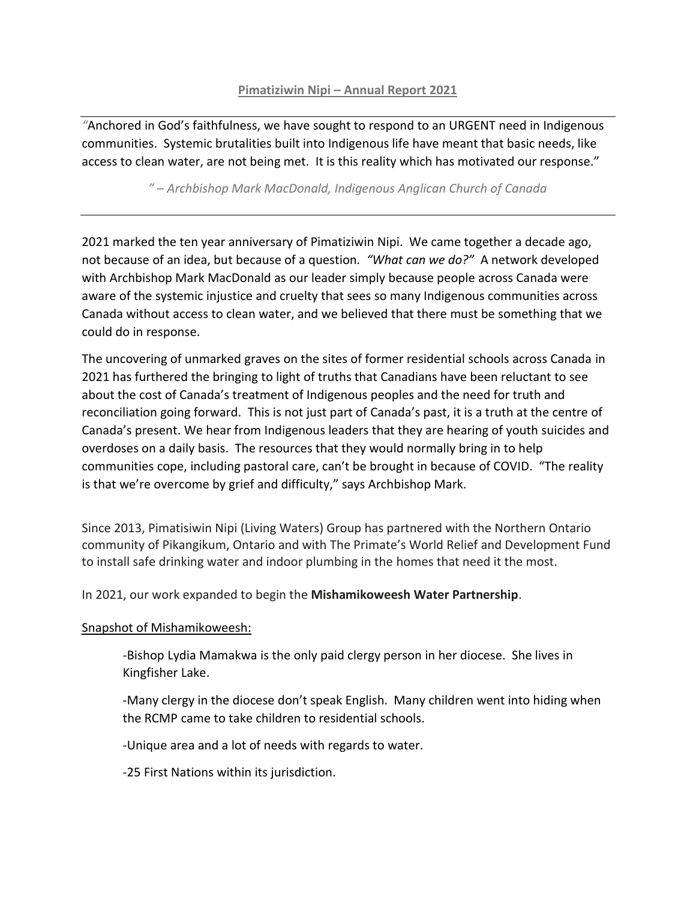## **Pimatiziwin Nipi – Annual Report 2021**

*"*Anchored in God's faithfulness, we have sought to respond to an URGENT need in Indigenous communities. Systemic brutalities built into Indigenous life have meant that basic needs, like access to clean water, are not being met. It is this reality which has motivated our response."

## *" – Archbishop Mark MacDonald, Indigenous Anglican Church of Canada*

2021 marked the ten year anniversary of Pimatiziwin Nipi. We came together a decade ago, not because of an idea, but because of a question*. "What can we do?"* A network developed with Archbishop Mark MacDonald as our leader simply because people across Canada were aware of the systemic injustice and cruelty that sees so many Indigenous communities across Canada without access to clean water, and we believed that there must be something that we could do in response.

The uncovering of unmarked graves on the sites of former residential schools across Canada in 2021 has furthered the bringing to light of truths that Canadians have been reluctant to see about the cost of Canada's treatment of Indigenous peoples and the need for truth and reconciliation going forward. This is not just part of Canada's past, it is a truth at the centre of Canada's present. We hear from Indigenous leaders that they are hearing of youth suicides and overdoses on a daily basis. The resources that they would normally bring in to help communities cope, including pastoral care, can't be brought in because of COVID. "The reality is that we're overcome by grief and difficulty," says Archbishop Mark.

Since 2013, Pimatisiwin Nipi (Living Waters) Group has partnered with the Northern Ontario community of Pikangikum, Ontario and with The Primate's World Relief and Development Fund to install safe drinking water and indoor plumbing in the homes that need it the most.

In 2021, our work expanded to begin the **Mishamikoweesh Water Partnership**.

## Snapshot of Mishamikoweesh:

-Bishop Lydia Mamakwa is the only paid clergy person in her diocese. She lives in Kingfisher Lake.

-Many clergy in the diocese don't speak English. Many children went into hiding when the RCMP came to take children to residential schools.

-Unique area and a lot of needs with regards to water.

-25 First Nations within its jurisdiction.